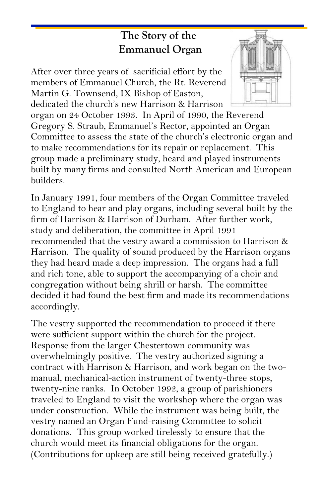## **The Story of the Emmanuel Organ**

After over three years of sacrificial effort by the members of Emmanuel Church, the Rt. Reverend Martin G. Townsend, IX Bishop of Easton, dedicated the church's new Harrison & Harrison

organ on 24 October 1993. In April of 1990, the Reverend Gregory S. Straub, Emmanuel's Rector, appointed an Organ Committee to assess the state of the church's electronic organ and to make recommendations for its repair or replacement. This group made a preliminary study, heard and played instruments built by many firms and consulted North American and European builders.

In January 1991, four members of the Organ Committee traveled to England to hear and play organs, including several built by the firm of Harrison & Harrison of Durham. After further work, study and deliberation, the committee in April 1991 recommended that the vestry award a commission to Harrison & Harrison. The quality of sound produced by the Harrison organs they had heard made a deep impression. The organs had a full and rich tone, able to support the accompanying of a choir and congregation without being shrill or harsh. The committee decided it had found the best firm and made its recommendations accordingly.

The vestry supported the recommendation to proceed if there were sufficient support within the church for the project. Response from the larger Chestertown community was overwhelmingly positive. The vestry authorized signing a contract with Harrison & Harrison, and work began on the twomanual, mechanical-action instrument of twenty-three stops, twenty-nine ranks. In October 1992, a group of parishioners traveled to England to visit the workshop where the organ was under construction. While the instrument was being built, the vestry named an Organ Fund-raising Committee to solicit donations. This group worked tirelessly to ensure that the church would meet its financial obligations for the organ. (Contributions for upkeep are still being received gratefully.)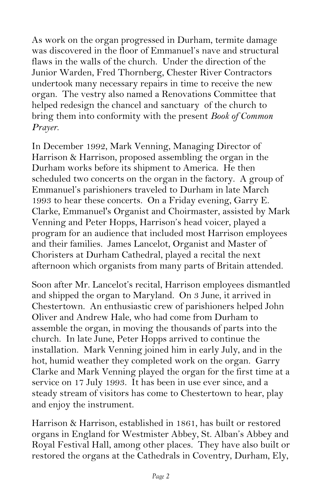As work on the organ progressed in Durham, termite damage was discovered in the floor of Emmanuel's nave and structural flaws in the walls of the church. Under the direction of the Junior Warden, Fred Thornberg, Chester River Contractors undertook many necessary repairs in time to receive the new organ. The vestry also named a Renovations Committee that helped redesign the chancel and sanctuary of the church to bring them into conformity with the present *Book of Common Prayer*.

In December 1992, Mark Venning, Managing Director of Harrison & Harrison, proposed assembling the organ in the Durham works before its shipment to America. He then scheduled two concerts on the organ in the factory. A group of Emmanuel's parishioners traveled to Durham in late March 1993 to hear these concerts. On a Friday evening, Garry E. Clarke, Emmanuel's Organist and Choirmaster, assisted by Mark Venning and Peter Hopps, Harrison's head voicer, played a program for an audience that included most Harrison employees and their families. James Lancelot, Organist and Master of Choristers at Durham Cathedral, played a recital the next afternoon which organists from many parts of Britain attended.

Soon after Mr. Lancelot's recital, Harrison employees dismantled and shipped the organ to Maryland. On 3 June, it arrived in Chestertown. An enthusiastic crew of parishioners helped John Oliver and Andrew Hale, who had come from Durham to assemble the organ, in moving the thousands of parts into the church. In late June, Peter Hopps arrived to continue the installation. Mark Venning joined him in early July, and in the hot, humid weather they completed work on the organ. Garry Clarke and Mark Venning played the organ for the first time at a service on 17 July 1993. It has been in use ever since, and a steady stream of visitors has come to Chestertown to hear, play and enjoy the instrument.

Harrison & Harrison, established in 1861, has built or restored organs in England for Westmister Abbey, St. Alban's Abbey and Royal Festival Hall, among other places. They have also built or restored the organs at the Cathedrals in Coventry, Durham, Ely,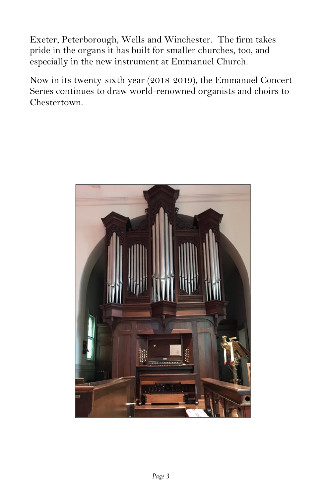Exeter, Peterborough, Wells and Winchester. The firm takes pride in the organs it has built for smaller churches, too, and especially in the new instrument at Emmanuel Church.

Now in its twenty-sixth year (2018-2019), the Emmanuel Concert Series continues to draw world-renowned organists and choirs to Chestertown.